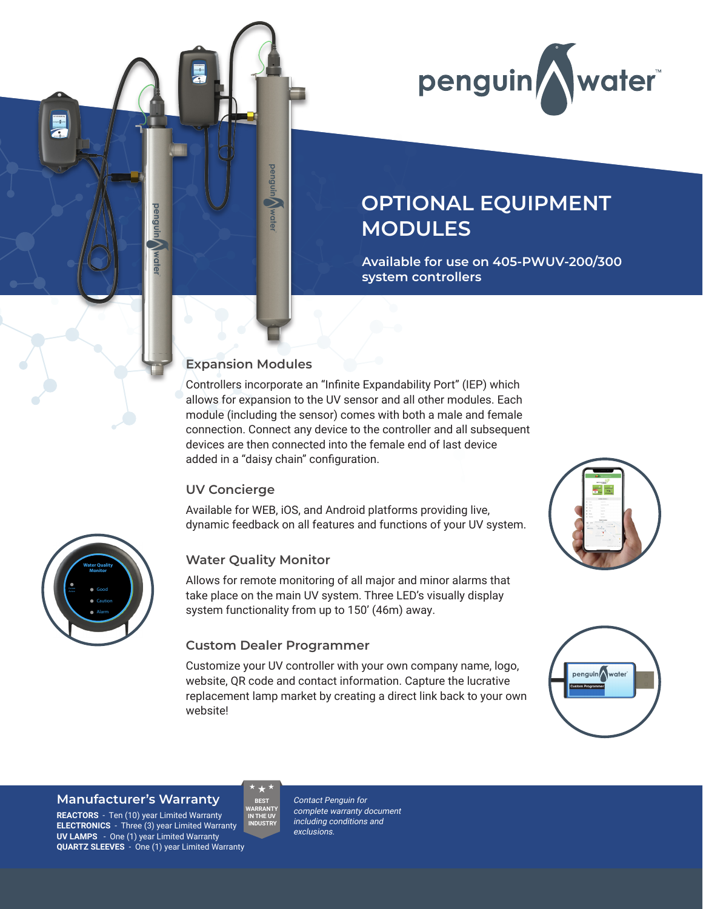

# **OPTIONAL EQUIPMENT MODULES**

**Available for use on 405-PWUV-200/300 system controllers**

#### **Expansion Modules**

**penguin** ⋝

wate

Controllers incorporate an "Infinite Expandability Port" (IEP) which allows for expansion to the UV sensor and all other modules. Each module (including the sensor) comes with both a male and female connection. Connect any device to the controller and all subsequent devices are then connected into the female end of last device added in a "daisy chain" configuration.

#### **UV Concierge**

Available for WEB, iOS, and Android platforms providing live, dynamic feedback on all features and functions of your UV system.



Allows for remote monitoring of all major and minor alarms that take place on the main UV system. Three LED's visually display system functionality from up to 150' (46m) away.

#### **Custom Dealer Programmer**

**BEST** 

Customize your UV controller with your own company name, logo, website, QR code and contact information. Capture the lucrative replacement lamp market by creating a direct link back to your own website!





#### **Manufacturer's Warranty**

Good Caution

**Water Quality Monitor**

penguli

**REACTORS** - Ten (10) year Limited Warranty **ELECTRONICS** - Three (3) year Limited Warranty **UV LAMPS** - One (1) year Limited Warranty **QUARTZ SLEEVES** - One (1) year Limited Warranty **WARRANTY IN THE UV INDUSTRY**

Contact Penguin for complete warranty document including conditions and exclusions.